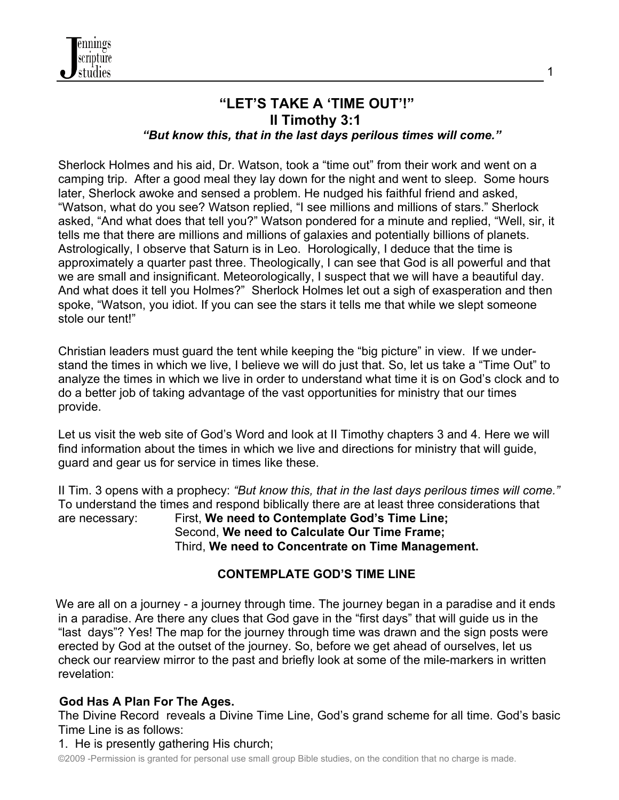

# **"LET'S TAKE A 'TIME OUT'!" II Timothy 3:1**

*"But know this, that in the last days perilous times will come."*

Sherlock Holmes and his aid, Dr. Watson, took a "time out" from their work and went on a camping trip. After a good meal they lay down for the night and went to sleep. Some hours later, Sherlock awoke and sensed a problem. He nudged his faithful friend and asked, "Watson, what do you see? Watson replied, "I see millions and millions of stars." Sherlock asked, "And what does that tell you?" Watson pondered for a minute and replied, "Well, sir, it tells me that there are millions and millions of galaxies and potentially billions of planets. Astrologically, I observe that Saturn is in Leo. Horologically, I deduce that the time is approximately a quarter past three. Theologically, I can see that God is all powerful and that we are small and insignificant. Meteorologically, I suspect that we will have a beautiful day. And what does it tell you Holmes?" Sherlock Holmes let out a sigh of exasperation and then spoke, "Watson, you idiot. If you can see the stars it tells me that while we slept someone stole our tent!"

Christian leaders must guard the tent while keeping the "big picture" in view. If we understand the times in which we live, I believe we will do just that. So, let us take a "Time Out" to analyze the times in which we live in order to understand what time it is on God's clock and to do a better job of taking advantage of the vast opportunities for ministry that our times provide.

Let us visit the web site of God's Word and look at II Timothy chapters 3 and 4. Here we will find information about the times in which we live and directions for ministry that will guide, guard and gear us for service in times like these.

II Tim. 3 opens with a prophecy: *"But know this, that in the last days perilous times will come."* To understand the times and respond biblically there are at least three considerations that

are necessary: First, **We need to Contemplate God's Time Line;** Second, **We need to Calculate Our Time Frame;** Third, **We need to Concentrate on Time Management.**

## **CONTEMPLATE GOD'S TIME LINE**

We are all on a journey - a journey through time. The journey began in a paradise and it ends in a paradise. Are there any clues that God gave in the "first days" that will guide us in the "last days"? Yes! The map for the journey through time was drawn and the sign posts were erected by God at the outset of the journey. So, before we get ahead of ourselves, let us check our rearview mirror to the past and briefly look at some of the mile-markers in written revelation:

## **God Has A Plan For The Ages.**

The Divine Record reveals a Divine Time Line, God's grand scheme for all time. God's basic Time Line is as follows:

#### 1. He is presently gathering His church;

©2009 -Permission is granted for personal use small group Bible studies, on the condition that no charge is made.

1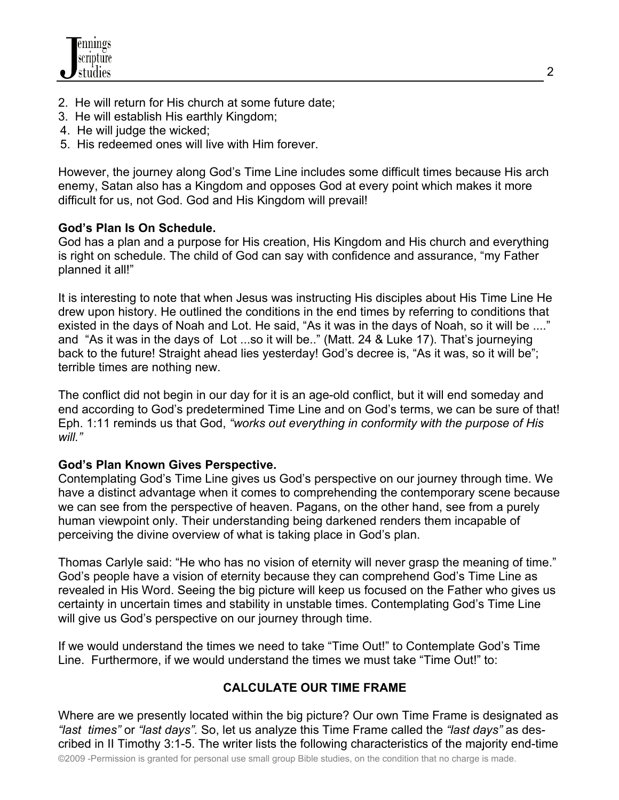- 2. He will return for His church at some future date;
- 3. He will establish His earthly Kingdom;
- 4. He will judge the wicked;
- 5. His redeemed ones will live with Him forever.

However, the journey along God's Time Line includes some difficult times because His arch enemy, Satan also has a Kingdom and opposes God at every point which makes it more difficult for us, not God. God and His Kingdom will prevail!

## **God's Plan Is On Schedule.**

God has a plan and a purpose for His creation, His Kingdom and His church and everything is right on schedule. The child of God can say with confidence and assurance, "my Father planned it all!"

It is interesting to note that when Jesus was instructing His disciples about His Time Line He drew upon history. He outlined the conditions in the end times by referring to conditions that existed in the days of Noah and Lot. He said, "As it was in the days of Noah, so it will be ...." and "As it was in the days of Lot ...so it will be.." (Matt. 24 & Luke 17). That's journeying back to the future! Straight ahead lies yesterday! God's decree is, "As it was, so it will be"; terrible times are nothing new.

The conflict did not begin in our day for it is an age-old conflict, but it will end someday and end according to God's predetermined Time Line and on God's terms, we can be sure of that! Eph. 1:11 reminds us that God, *"works out everything in conformity with the purpose of His will."*

## **God's Plan Known Gives Perspective.**

Contemplating God's Time Line gives us God's perspective on our journey through time. We have a distinct advantage when it comes to comprehending the contemporary scene because we can see from the perspective of heaven. Pagans, on the other hand, see from a purely human viewpoint only. Their understanding being darkened renders them incapable of perceiving the divine overview of what is taking place in God's plan.

Thomas Carlyle said: "He who has no vision of eternity will never grasp the meaning of time." God's people have a vision of eternity because they can comprehend God's Time Line as revealed in His Word. Seeing the big picture will keep us focused on the Father who gives us certainty in uncertain times and stability in unstable times. Contemplating God's Time Line will give us God's perspective on our journey through time.

If we would understand the times we need to take "Time Out!" to Contemplate God's Time Line. Furthermore, if we would understand the times we must take "Time Out!" to:

## **CALCULATE OUR TIME FRAME**

©2009 -Permission is granted for personal use small group Bible studies, on the condition that no charge is made. Where are we presently located within the big picture? Our own Time Frame is designated as *"last times"* or *"last days".* So, let us analyze this Time Frame called the *"last days"* as described in II Timothy 3:1-5. The writer lists the following characteristics of the majority end-time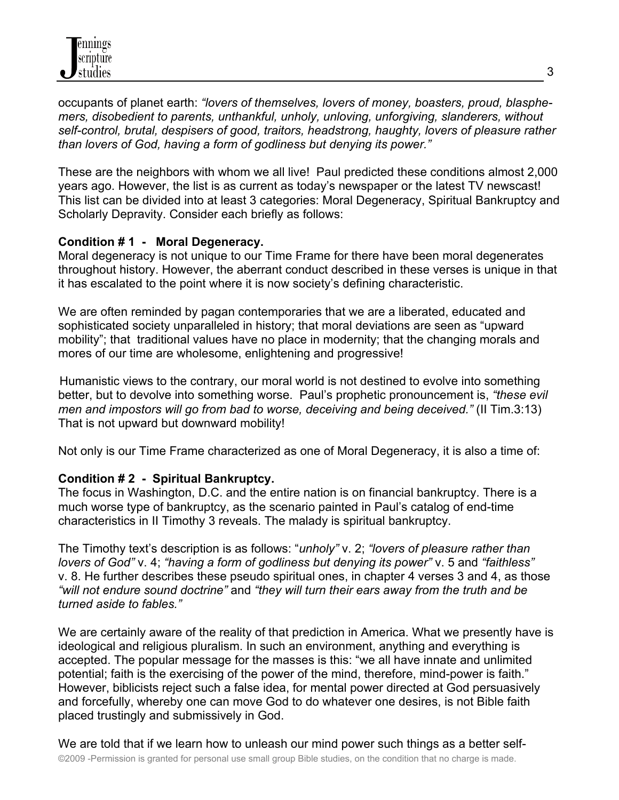occupants of planet earth: *"lovers of themselves, lovers of money, boasters, proud, blasphemers, disobedient to parents, unthankful, unholy, unloving, unforgiving, slanderers, without self-control, brutal, despisers of good, traitors, headstrong, haughty, lovers of pleasure rather than lovers of God, having a form of godliness but denying its power."*

These are the neighbors with whom we all live! Paul predicted these conditions almost 2,000 years ago. However, the list is as current as today's newspaper or the latest TV newscast! This list can be divided into at least 3 categories: Moral Degeneracy, Spiritual Bankruptcy and Scholarly Depravity. Consider each briefly as follows:

#### **Condition # 1 - Moral Degeneracy.**

Moral degeneracy is not unique to our Time Frame for there have been moral degenerates throughout history. However, the aberrant conduct described in these verses is unique in that it has escalated to the point where it is now society's defining characteristic.

We are often reminded by pagan contemporaries that we are a liberated, educated and sophisticated society unparalleled in history; that moral deviations are seen as "upward mobility"; that traditional values have no place in modernity; that the changing morals and mores of our time are wholesome, enlightening and progressive!

 Humanistic views to the contrary, our moral world is not destined to evolve into something better, but to devolve into something worse. Paul's prophetic pronouncement is, *"these evil men and impostors will go from bad to worse, deceiving and being deceived."* (II Tim.3:13) That is not upward but downward mobility!

Not only is our Time Frame characterized as one of Moral Degeneracy, it is also a time of:

## **Condition # 2 - Spiritual Bankruptcy.**

The focus in Washington, D.C. and the entire nation is on financial bankruptcy. There is a much worse type of bankruptcy, as the scenario painted in Paul's catalog of end-time characteristics in II Timothy 3 reveals. The malady is spiritual bankruptcy.

The Timothy text's description is as follows: "*unholy"* v. 2; *"lovers of pleasure rather than lovers of God"* v. 4; *"having a form of godliness but denying its power"* v. 5 and *"faithless"* v. 8. He further describes these pseudo spiritual ones, in chapter 4 verses 3 and 4, as those *"will not endure sound doctrine"* and *"they will turn their ears away from the truth and be turned aside to fables."*

We are certainly aware of the reality of that prediction in America. What we presently have is ideological and religious pluralism. In such an environment, anything and everything is accepted. The popular message for the masses is this: "we all have innate and unlimited potential; faith is the exercising of the power of the mind, therefore, mind-power is faith." However, biblicists reject such a false idea, for mental power directed at God persuasively and forcefully, whereby one can move God to do whatever one desires, is not Bible faith placed trustingly and submissively in God.

©2009 -Permission is granted for personal use small group Bible studies, on the condition that no charge is made. We are told that if we learn how to unleash our mind power such things as a better self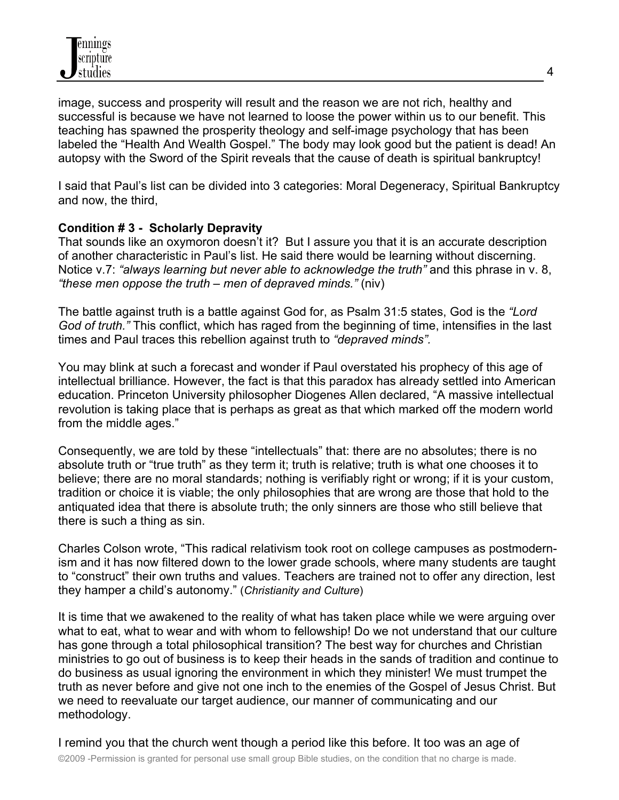image, success and prosperity will result and the reason we are not rich, healthy and successful is because we have not learned to loose the power within us to our benefit. This teaching has spawned the prosperity theology and self-image psychology that has been labeled the "Health And Wealth Gospel." The body may look good but the patient is dead! An autopsy with the Sword of the Spirit reveals that the cause of death is spiritual bankruptcy!

I said that Paul's list can be divided into 3 categories: Moral Degeneracy, Spiritual Bankruptcy and now, the third,

## **Condition # 3 - Scholarly Depravity**

That sounds like an oxymoron doesn't it? But I assure you that it is an accurate description of another characteristic in Paul's list. He said there would be learning without discerning. Notice v.7: *"always learning but never able to acknowledge the truth"* and this phrase in v. 8, *"these men oppose the truth – men of depraved minds."* (niv)

The battle against truth is a battle against God for, as Psalm 31:5 states, God is the *"Lord God of truth."* This conflict, which has raged from the beginning of time, intensifies in the last times and Paul traces this rebellion against truth to *"depraved minds".*

You may blink at such a forecast and wonder if Paul overstated his prophecy of this age of intellectual brilliance. However, the fact is that this paradox has already settled into American education. Princeton University philosopher Diogenes Allen declared, "A massive intellectual revolution is taking place that is perhaps as great as that which marked off the modern world from the middle ages."

Consequently, we are told by these "intellectuals" that: there are no absolutes; there is no absolute truth or "true truth" as they term it; truth is relative; truth is what one chooses it to believe; there are no moral standards; nothing is verifiably right or wrong; if it is your custom, tradition or choice it is viable; the only philosophies that are wrong are those that hold to the antiquated idea that there is absolute truth; the only sinners are those who still believe that there is such a thing as sin.

Charles Colson wrote, "This radical relativism took root on college campuses as postmodernism and it has now filtered down to the lower grade schools, where many students are taught to "construct" their own truths and values. Teachers are trained not to offer any direction, lest they hamper a child's autonomy." (*Christianity and Culture*)

It is time that we awakened to the reality of what has taken place while we were arguing over what to eat, what to wear and with whom to fellowship! Do we not understand that our culture has gone through a total philosophical transition? The best way for churches and Christian ministries to go out of business is to keep their heads in the sands of tradition and continue to do business as usual ignoring the environment in which they minister! We must trumpet the truth as never before and give not one inch to the enemies of the Gospel of Jesus Christ. But we need to reevaluate our target audience, our manner of communicating and our methodology.

©2009 -Permission is granted for personal use small group Bible studies, on the condition that no charge is made. I remind you that the church went though a period like this before. It too was an age of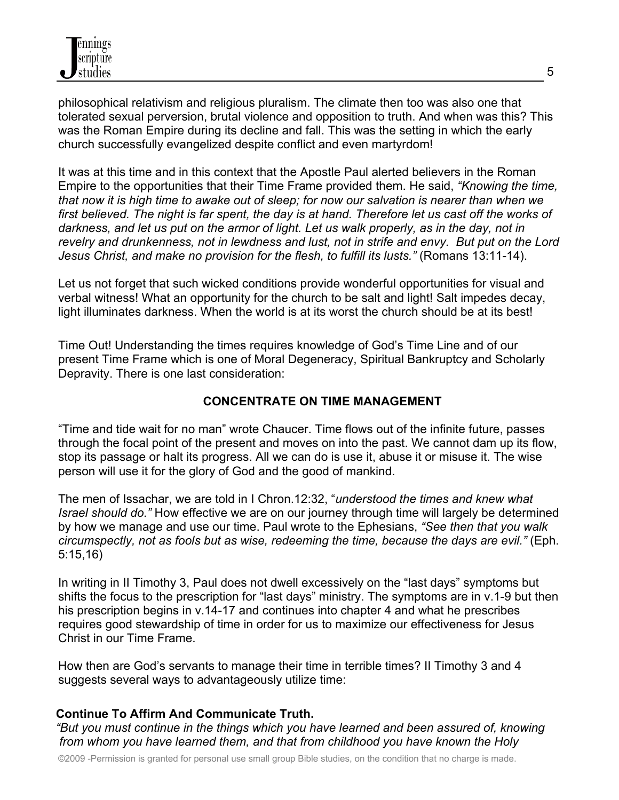philosophical relativism and religious pluralism. The climate then too was also one that tolerated sexual perversion, brutal violence and opposition to truth. And when was this? This was the Roman Empire during its decline and fall. This was the setting in which the early church successfully evangelized despite conflict and even martyrdom!

It was at this time and in this context that the Apostle Paul alerted believers in the Roman Empire to the opportunities that their Time Frame provided them. He said, *"Knowing the time, that now it is high time to awake out of sleep; for now our salvation is nearer than when we first believed. The night is far spent, the day is at hand. Therefore let us cast off the works of darkness, and let us put on the armor of light. Let us walk properly, as in the day, not in revelry and drunkenness, not in lewdness and lust, not in strife and envy. But put on the Lord Jesus Christ, and make no provision for the flesh, to fulfill its lusts."* (Romans 13:11-14).

Let us not forget that such wicked conditions provide wonderful opportunities for visual and verbal witness! What an opportunity for the church to be salt and light! Salt impedes decay, light illuminates darkness. When the world is at its worst the church should be at its best!

Time Out! Understanding the times requires knowledge of God's Time Line and of our present Time Frame which is one of Moral Degeneracy, Spiritual Bankruptcy and Scholarly Depravity. There is one last consideration:

## **CONCENTRATE ON TIME MANAGEMENT**

"Time and tide wait for no man" wrote Chaucer. Time flows out of the infinite future, passes through the focal point of the present and moves on into the past. We cannot dam up its flow, stop its passage or halt its progress. All we can do is use it, abuse it or misuse it. The wise person will use it for the glory of God and the good of mankind.

The men of Issachar, we are told in I Chron.12:32, "*understood the times and knew what Israel should do."* How effective we are on our journey through time will largely be determined by how we manage and use our time. Paul wrote to the Ephesians, *"See then that you walk circumspectly, not as fools but as wise, redeeming the time, because the days are evil."* (Eph. 5:15,16)

In writing in II Timothy 3, Paul does not dwell excessively on the "last days" symptoms but shifts the focus to the prescription for "last days" ministry. The symptoms are in v.1-9 but then his prescription begins in v.14-17 and continues into chapter 4 and what he prescribes requires good stewardship of time in order for us to maximize our effectiveness for Jesus Christ in our Time Frame.

How then are God's servants to manage their time in terrible times? II Timothy 3 and 4 suggests several ways to advantageously utilize time:

## **Continue To Affirm And Communicate Truth.**

*"But you must continue in the things which you have learned and been assured of, knowing from whom you have learned them, and that from childhood you have known the Holy*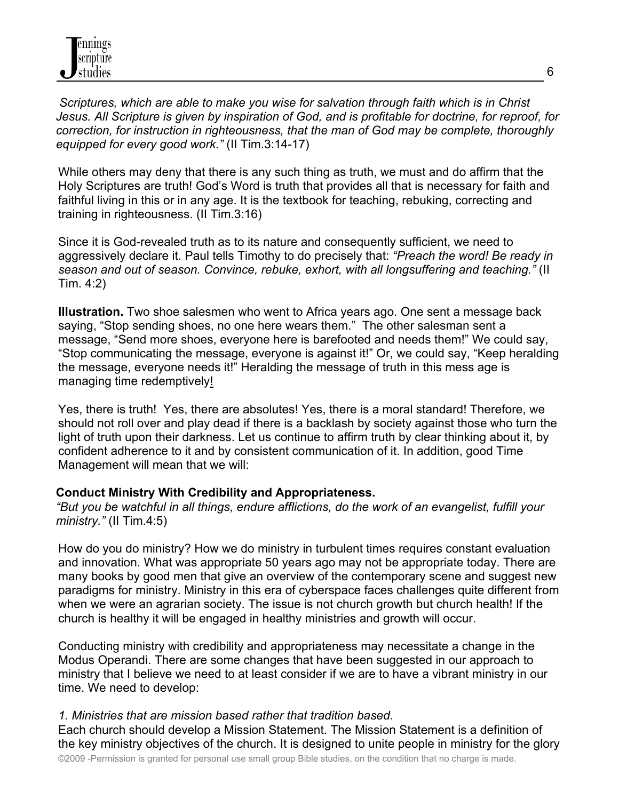*Scriptures, which are able to make you wise for salvation through faith which is in Christ Jesus. All Scripture is given by inspiration of God, and is profitable for doctrine, for reproof, for correction, for instruction in righteousness, that the man of God may be complete, thoroughly equipped for every good work."* (II Tim.3:14-17)

While others may deny that there is any such thing as truth, we must and do affirm that the Holy Scriptures are truth! God's Word is truth that provides all that is necessary for faith and faithful living in this or in any age. It is the textbook for teaching, rebuking, correcting and training in righteousness. (II Tim.3:16)

Since it is God-revealed truth as to its nature and consequently sufficient, we need to aggressively declare it. Paul tells Timothy to do precisely that: *"Preach the word! Be ready in season and out of season. Convince, rebuke, exhort, with all longsuffering and teaching."* (II Tim. 4:2)

**Illustration.** Two shoe salesmen who went to Africa years ago. One sent a message back saying, "Stop sending shoes, no one here wears them." The other salesman sent a message, "Send more shoes, everyone here is barefooted and needs them!" We could say, "Stop communicating the message, everyone is against it!" Or, we could say, "Keep heralding the message, everyone needs it!" Heralding the message of truth in this mess age is managing time redemptively!

Yes, there is truth! Yes, there are absolutes! Yes, there is a moral standard! Therefore, we should not roll over and play dead if there is a backlash by society against those who turn the light of truth upon their darkness. Let us continue to affirm truth by clear thinking about it, by confident adherence to it and by consistent communication of it. In addition, good Time Management will mean that we will:

## **Conduct Ministry With Credibility and Appropriateness.**

*"But you be watchful in all things, endure afflictions, do the work of an evangelist, fulfill your ministry."* (II Tim.4:5)

How do you do ministry? How we do ministry in turbulent times requires constant evaluation and innovation. What was appropriate 50 years ago may not be appropriate today. There are many books by good men that give an overview of the contemporary scene and suggest new paradigms for ministry. Ministry in this era of cyberspace faces challenges quite different from when we were an agrarian society. The issue is not church growth but church health! If the church is healthy it will be engaged in healthy ministries and growth will occur.

Conducting ministry with credibility and appropriateness may necessitate a change in the Modus Operandi. There are some changes that have been suggested in our approach to ministry that I believe we need to at least consider if we are to have a vibrant ministry in our time. We need to develop:

#### *1. Ministries that are mission based rather that tradition based.*

Each church should develop a Mission Statement. The Mission Statement is a definition of the key ministry objectives of the church. It is designed to unite people in ministry for the glory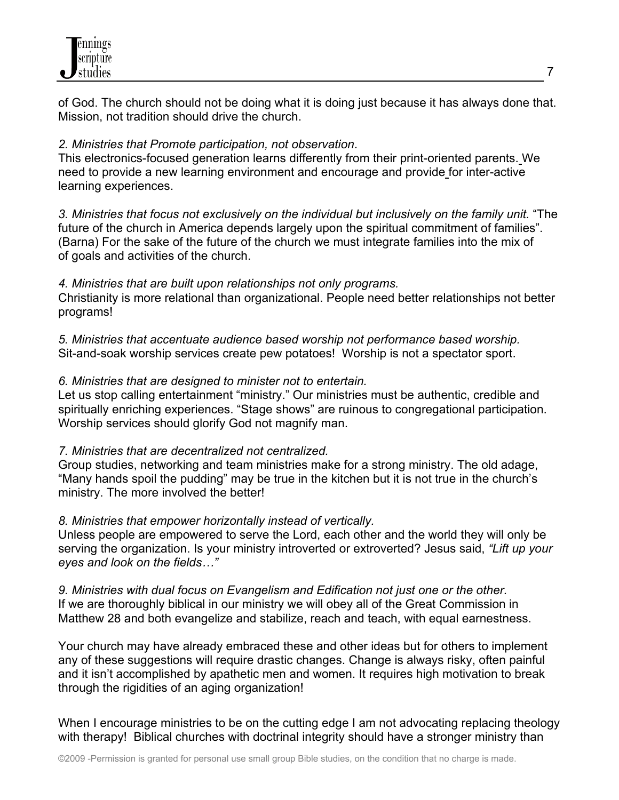

of God. The church should not be doing what it is doing just because it has always done that. Mission, not tradition should drive the church.

#### *2. Ministries that Promote participation, not observation*.

This electronics-focused generation learns differently from their print-oriented parents. We need to provide a new learning environment and encourage and provide for inter-active learning experiences.

*3. Ministries that focus not exclusively on the individual but inclusively on the family unit.* "The future of the church in America depends largely upon the spiritual commitment of families". (Barna) For the sake of the future of the church we must integrate families into the mix of of goals and activities of the church.

#### *4. Ministries that are built upon relationships not only programs.*

Christianity is more relational than organizational. People need better relationships not better programs!

*5. Ministries that accentuate audience based worship not performance based worship.* Sit-and-soak worship services create pew potatoes! Worship is not a spectator sport.

#### *6. Ministries that are designed to minister not to entertain.*

Let us stop calling entertainment "ministry." Our ministries must be authentic, credible and spiritually enriching experiences. "Stage shows" are ruinous to congregational participation. Worship services should glorify God not magnify man.

#### *7. Ministries that are decentralized not centralized.*

Group studies, networking and team ministries make for a strong ministry. The old adage, "Many hands spoil the pudding" may be true in the kitchen but it is not true in the church's ministry. The more involved the better!

## *8. Ministries that empower horizontally instead of vertically.*

Unless people are empowered to serve the Lord, each other and the world they will only be serving the organization. Is your ministry introverted or extroverted? Jesus said, *"Lift up your eyes and look on the fields…"*

*9. Ministries with dual focus on Evangelism and Edification not just one or the other.*  If we are thoroughly biblical in our ministry we will obey all of the Great Commission in Matthew 28 and both evangelize and stabilize, reach and teach, with equal earnestness.

Your church may have already embraced these and other ideas but for others to implement any of these suggestions will require drastic changes. Change is always risky, often painful and it isn't accomplished by apathetic men and women. It requires high motivation to break through the rigidities of an aging organization!

When I encourage ministries to be on the cutting edge I am not advocating replacing theology with therapy! Biblical churches with doctrinal integrity should have a stronger ministry than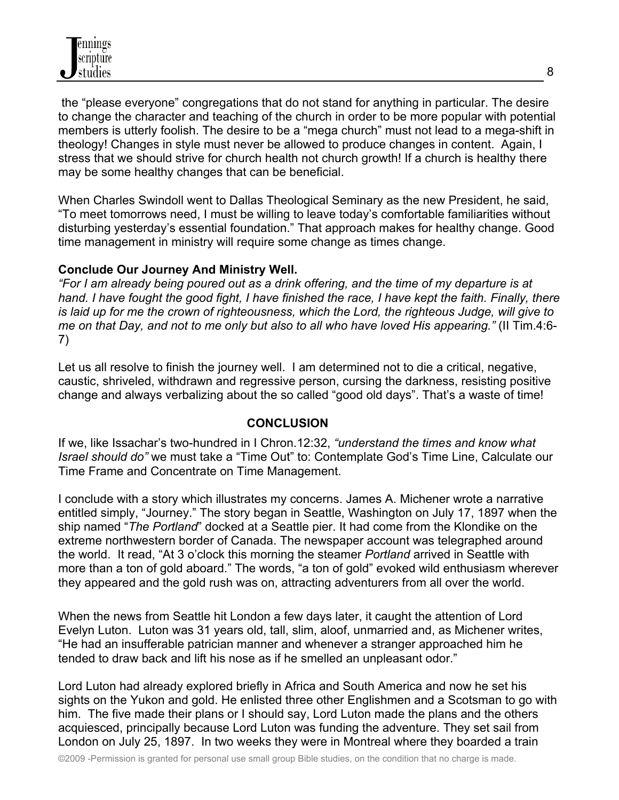the "please everyone" congregations that do not stand for anything in particular. The desire to change the character and teaching of the church in order to be more popular with potential members is utterly foolish. The desire to be a "mega church" must not lead to a mega-shift in theology! Changes in style must never be allowed to produce changes in content. Again, I stress that we should strive for church health not church growth! If a church is healthy there may be some healthy changes that can be beneficial.

When Charles Swindoll went to Dallas Theological Seminary as the new President, he said, "To meet tomorrows need, I must be willing to leave today's comfortable familiarities without disturbing yesterday's essential foundation." That approach makes for healthy change. Good time management in ministry will require some change as times change.

#### **Conclude Our Journey And Ministry Well.**

*"For I am already being poured out as a drink offering, and the time of my departure is at hand. I have fought the good fight, I have finished the race, I have kept the faith. Finally, there is laid up for me the crown of righteousness, which the Lord, the righteous Judge, will give to me on that Day, and not to me only but also to all who have loved His appearing."* (II Tim.4:6- 7)

Let us all resolve to finish the journey well. I am determined not to die a critical, negative, caustic, shriveled, withdrawn and regressive person, cursing the darkness, resisting positive change and always verbalizing about the so called "good old days". That's a waste of time!

## **CONCLUSION**

If we, like Issachar's two-hundred in I Chron.12:32, *"understand the times and know what Israel should do"* we must take a "Time Out" to: Contemplate God's Time Line, Calculate our Time Frame and Concentrate on Time Management.

I conclude with a story which illustrates my concerns. James A. Michener wrote a narrative entitled simply, "Journey." The story began in Seattle, Washington on July 17, 1897 when the ship named "*The Portland*" docked at a Seattle pier. It had come from the Klondike on the extreme northwestern border of Canada. The newspaper account was telegraphed around the world. It read, "At 3 o'clock this morning the steamer *Portland* arrived in Seattle with more than a ton of gold aboard." The words, "a ton of gold" evoked wild enthusiasm wherever they appeared and the gold rush was on, attracting adventurers from all over the world.

When the news from Seattle hit London a few days later, it caught the attention of Lord Evelyn Luton. Luton was 31 years old, tall, slim, aloof, unmarried and, as Michener writes, "He had an insufferable patrician manner and whenever a stranger approached him he tended to draw back and lift his nose as if he smelled an unpleasant odor."

Lord Luton had already explored briefly in Africa and South America and now he set his sights on the Yukon and gold. He enlisted three other Englishmen and a Scotsman to go with him. The five made their plans or I should say, Lord Luton made the plans and the others acquiesced, principally because Lord Luton was funding the adventure. They set sail from London on July 25, 1897. In two weeks they were in Montreal where they boarded a train